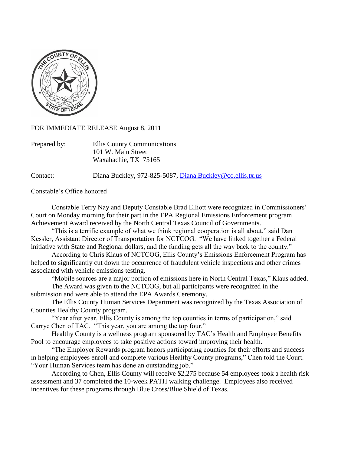

FOR IMMEDIATE RELEASE August 8, 2011

| Prepared by: | Ellis County Communications |
|--------------|-----------------------------|
|              | 101 W. Main Street          |
|              | Waxahachie, TX 75165        |

Contact: Diana Buckley, 972-825-5087, [Diana.Buckley@co.ellis.tx.us](mailto:Diana.Buckley@co.ellis.tx.us)

Constable's Office honored

Constable Terry Nay and Deputy Constable Brad Elliott were recognized in Commissioners' Court on Monday morning for their part in the EPA Regional Emissions Enforcement program Achievement Award received by the North Central Texas Council of Governments.

"This is a terrific example of what we think regional cooperation is all about," said Dan Kessler, Assistant Director of Transportation for NCTCOG. "We have linked together a Federal initiative with State and Regional dollars, and the funding gets all the way back to the county."

According to Chris Klaus of NCTCOG, Ellis County's Emissions Enforcement Program has helped to significantly cut down the occurrence of fraudulent vehicle inspections and other crimes associated with vehicle emissions testing.

"Mobile sources are a major portion of emissions here in North Central Texas," Klaus added.

The Award was given to the NCTCOG, but all participants were recognized in the submission and were able to attend the EPA Awards Ceremony.

The Ellis County Human Services Department was recognized by the Texas Association of Counties Healthy County program.

"Year after year, Ellis County is among the top counties in terms of participation," said Carrye Chen of TAC. "This year, you are among the top four."

Healthy County is a wellness program sponsored by TAC's Health and Employee Benefits Pool to encourage employees to take positive actions toward improving their health.

"The Employer Rewards program honors participating counties for their efforts and success in helping employees enroll and complete various Healthy County programs," Chen told the Court. "Your Human Services team has done an outstanding job."

According to Chen, Ellis County will receive \$2,275 because 54 employees took a health risk assessment and 37 completed the 10-week PATH walking challenge. Employees also received incentives for these programs through Blue Cross/Blue Shield of Texas.